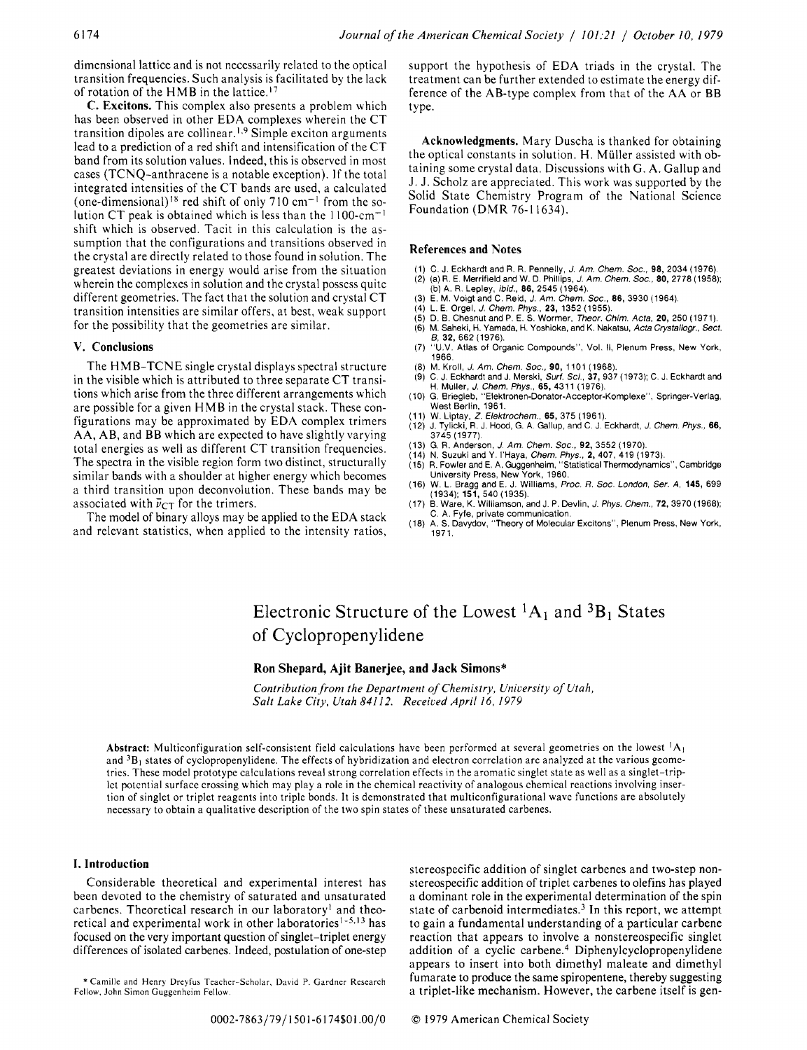dimensional lattice and is not necessarily related to the optical transition frequencies. Such analysis is facilitated by the lack of rotation of the HMB in the lattice.<sup>17</sup>

**C. Excitons.** This complex also presents a problem which has been observed in other EDA complexes wherein the CT transition dipoles are collinear.<sup>1,9</sup> Simple exciton arguments lead to a prediction of a red shift and intensification of the CT band from its solution values. Indeed, this is observed in most cases (TCNQ-anthracene is a notable exception). If the total integrated intensities of the CT bands are used, a calculated (one-dimensional)<sup>18</sup> red shift of only 710 cm<sup>-1</sup> from the solution CT peak is obtained which is less than the l 100-cm-l shift which is observed. Tacit in this calculation is the assumption that the configurations and transitions observed in the crystal are directly related to those found in solution. The greatest deviations in energy would arise from the situation wherein the complexes in solution and the crystal possess quite different geometries. The fact that the solution and crystal CT transition intensities are similar offers, at best, weak support for the possibility that the geometries are similar.

#### **V. Conclusions**

The HMB-TCNE single crystal displays spectral structure in the visible which is attributed to three separate CT transitions which arise from the three different arrangements which are possible for a given HMB in the crystal stack. These configurations may be approximated by EDA complex trimers AA, AB, and BB which are expected to have slightly varying total energies as well as different CT transition frequencies. The spectra in the visible region form two distinct, structurally similar bands with a shoulder at higher energy which becomes a third transition upon deconvolution. These bands may be associated with  $\bar{\nu}_{CT}$  for the trimers.

The model of binary alloys may be applied to the EDA stack and relevant statistics, when applied to the intensity ratios, support the hypothesis of EDA triads in the crystal. The treatment can be further extended to estimate the energy difference of the AB-type complex from that of the **AA** or BB type.

**Acknowledgments.** Mary Duscha is thanked for obtaining the optical constants in solution. H. Muller assisted with obtaining some crystal data. Discussions with G. **A.** Gallup and J. J. Scholz are appreciated. This work was supported by the Solid State Chemistry Program of the National Science Foundation (DMR 76-1 1634).

#### **References and Notes**

- 
- (1) C. J. Eckhardt and R. R. Pennelly, *J.* Am. Chem. *SOC.,* **98,** 2034 (1976). (2) (a) R. E. Merrifield and W. D. Phillips, *J. Am.* Chem. *SOC.,* **80,** 2778 (1958);
- (3) E. M. Voigt and C. Reid, *J. Am.* Chem. *SOC.,* **86,** 3930 (1964) (b) A. R. Lepley, *ibid.,* **86,** 2545 (1964).
- (4) L. E. Orgel, *J.* Chem. *Phys.,* **23,** 1352 (1955).
- **(5)** D. B. Chesnut and P. E. S. Wormer, Theor. Chim. Acta, **20,** 250 (1971).
- (6) M. Saheki, H. Yamada, H. Yoshioka, and K. Nakatsu, Acta Crystalloor., Sect. .- *6,* **32,** 662 (1976).
- **1966**  (7) "U.V. Atlas of Organic Compounds", Vol. 11, Plenum Press, New York,
- 
- (8) M. Kroll, *J. Am. Chem. Soc.*, **90,** 1101 (1968).<br>(9) C. J. Eckhardt and J. Merski, *Surf. Sci.*, 37, 937 (1973); C. J. Eckhardt and<br>H. Müller, *J. Chem. Phys.*, 65, 4311 (1976).<br>(10) G. Briegleb, "Elektronen-Donator-A
- West Berlin, 1961. (11) W. Liptay, *2.* Elektrochem., **65,** 375 (1961). (12) J. Tylicki, R. J. Hood, G. **A.** Gallup, and C. J. Eckhardt, *J.* Chem. *Phys.,* **66,**
- 
- 3745 (1977).
- 
- (13) G. R. Anderson, *J. Am. Chem. Soc.,* **92,** 3552 (1970).<br>(14) N. Suzuki and Y. l'Haya, *Chem. Phys.*, **2,** 407, 419 (1973).<br>(15) R. Fowler and E. A. Guggenheim, ''Statistical Thermodynamics'', Cambridge
- (16) W. L. Bragg and E. J. Williams, *Proc. R.* SOC. *London,* Ser. *A,* **145,** 699 University Press, New York, 1960. (1934); **151,** 540 (1935).
- (17) B. Ware, K. Williamson, and J. P. Devlin, *J. Phys.* Chem., **72,** 3970 (1968); C. A. Fyfe, private communication.<br>(18) A. S. Davydov, ''Theory of Molecular Excitons'', Plenum Press, New York,
- 1971.

# Electronic Structure of the Lowest  ${}^{1}A_1$  and  ${}^{3}B_1$  States of Cyclopropenylidene

# **Ron Shepard, Ajit Banerjee, and Jack Simons\***

*Contribution from the Department of Chemistry, Unicersity of Utah, Salt Lake City, Utah 84112. Received April 16, 1979* 

**Abstract:** Multiconfiguration self-consistent field calculations have been performed at several geometries on the lowest **'AI**  and <sup>3</sup>B<sub>1</sub> states of cyclopropenylidene. The effects of hybridization and electron correlation are analyzed at the various geometries. These model prototype calculations reveal strong correlation effects in the aromatic singlet state as well as a singlet-trip-Ict potential surface crossing which may play a role in the chemical reactivity of analogous chemical reactions involving insertion of singlet or triplet reagents into triple bonds. It is demonstrated that multiconfigurational wave functions are absolutely necessary to obtain a qualitative description of the two spin states of these unsaturated carbenes.

# **1. Introduction**

Considerable theoretical and experimental interest has been devoted to the chemistry of saturated and unsaturated carbenes. Theoretical research in our laboratory' and theoretical and experimental work in other laboratories<sup> $1-5,13$ </sup> has focused on the very important question of singlet-triplet energy differences of isolated carbenes. Indeed, postulation of one-step

\* Camille and Henry Dreyfus Teacher-Scholar, David P. Gardner Research Fellow, John Simon Guggenheim Fellow.

stereospecific addition of singlet carbenes and two-step nonstereospecific addition of triplet carbenes to olefins has played a dominant role in the experimental determination of the spin state of carbenoid intermediates.<sup>3</sup> In this report, we attempt to gain a fundamental understanding of a particular carbene reaction that appears to involve a nonstereospecific singlet addition of a cyclic ~arbene.~ **Diphenylcyclopropenylidene**  appears to insert into both dimethyl maleate and dimethyl fumarate to produce the same spiropentene, thereby suggesting a triplet-like mechanism. However, the carbene itself is gen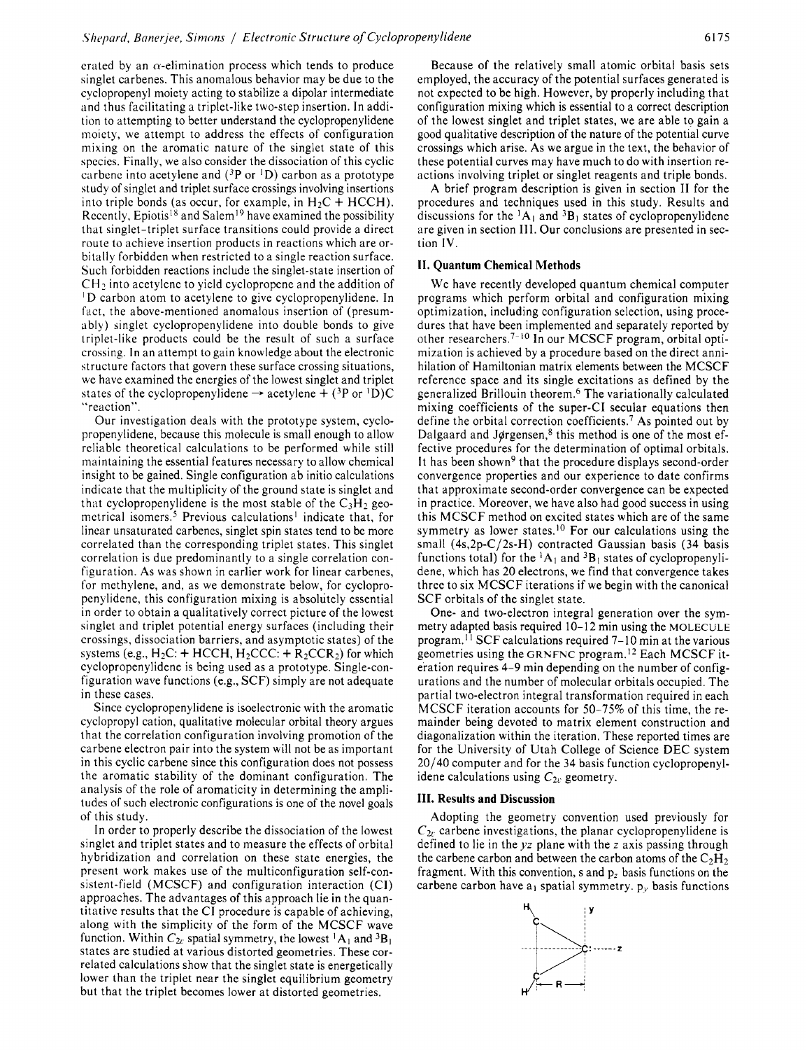erated by an  $\alpha$ -elimination process which tends to produce singlet carbenes. This anomalous behavior may be due to the cyclopropenyl moiety acting to stabilize a dipolar intermediate and thus facilitating a triplet-like two-step insertion. In addition to attempting to better understand the cyclopropenylidene moiety, we attempt to address the effects of configuration mixing on the aromatic nature of the singlet state of this species. Finally, we also consider the dissociation of this cyclic carbenc into acetylene and **(3P** or ID) carbon as a prototype study of singlet and triplet surface crossings involving insertions into triple bonds (as occur, for example, in  $H_2C + HCCH$ ). Recently, Epiotis<sup>18</sup> and Salem<sup>19</sup> have examined the possibility that singlet-triplet surface transitions could provide a direct route to achieve insertion products in reactions which are orbitally forbidden when restricted to a single reaction surface. Such forbidden reactions include the singlet-state insertion of  $CH<sub>2</sub>$  into acetylene to yield cyclopropene and the addition of <sup>I</sup>D carbon atom to acetylene to give cyclopropenylidene. In fact, the above-mentioned anomalous insertion of (presumably) singlet cyclopropenylidene into double bonds to give triplet-like products could be the result of such a surface crossing. In an attempt to gain knowledge about the electronic structure factors that govern these surface crossing situations, we have examined the energies of the lowest singlet and triplet states of the cyclopropenylidene  $\rightarrow$  acetylene  $+(^{3}P \text{ or } ^{1}D)C$ "reaction".

Our investigation deals with the prototype system, cyclopropenylidene, because this molecule is small enough to allow reliable theoretical calculations to be performed while still maintaining the essential features necessary to allow chemical insight to be gained. Single configuration ab initio calculations indicate that the multiplicity of the ground state is singlet and that cyclopropenylidene is the most stable of the  $C_3H_2$  geometrical isomers.<sup>5</sup> Previous calculations<sup>1</sup> indicate that, for linear unsaturated carbenes, singlet spin states tend to be more correlated than the corresponding triplet states. This singlet correlation is due predominantly to a single correlation configuration. **As** was shown in earlier work for linear carbenes, for methylene, and, as we demonstrate below, for cyclopropenylidene, this configuration mixing is absolutely essential in order to obtain a qualitatively correct picture of the lowest singlet and triplet potential energy surfaces (including their crossings, dissociation barriers, and asymptotic states) of the systems (e.g.,  $H_2C$ : + HCCH,  $H_2CCC$ : +  $R_2CCR_2$ ) for which cyclopropenylidene is being used as a prototype. Single-configuration wave functions (e.g., SCF) simply are not adequate in these cases.

Since cyclopropenylidene is isoelectronic with the aromatic cyclopropyl cation, qualitative molecular orbital theory argues that the correlation configuration involving promotion of the carbene electron pair into the system will not be as important in this cyclic carbene since this configuration does not possess the aromatic stability of the dominant configuration. The analysis of the role of aromaticity in determining the amplitudes of such electronic configurations is one of the novel goals of this study.

In order to properly describe the dissociation of the lowest singlet and triplet states and to measure the effects of orbital hybridization and correlation on these state energies, the present work makes use of the multiconfiguration self-consistent-field (MCSCF) and configuration interaction (CI) approaches. The advantages of this approach lie in the quantitative results that the CI procedure is capable of achieving, along with the simplicity of the form of the MCSCF wave function. Within  $C_{2v}$  spatial symmetry, the lowest  $^1A_1$  and  $^3B_1$ states are studied at various distorted geometries. These correlated calculations show that the singlet state is energetically lower than the triplet near the singlet equilibrium geometry but that the triplet becomes lower at distorted geometries.

Because of the relatively small atomic orbital basis sets employed, the accuracy of the potential surfaces generated is not expected to be high. However, by properly including that configuration mixing which is essential to a correct description of the lowest singlet and triplet states, we are able to gain a good qualitative description of the nature of the potential curve crossings which arise. **As** we argue in the text, the behavior of these potential curves may have much to do with insertion reactions involving triplet or singlet reagents and triple bonds.

**A** brief program description is given in section **I1** for the procedures and techniques used in this study. Results and discussions for the  ${}^{1}A_{1}$  and  ${}^{3}B_{1}$  states of cyclopropenylidene are given in section **111.** Our conclusions are presented in section **IV.** 

#### **11. Quantum Chemical Methods**

We have recently developed quantum chemical computer programs which perform orbital and configuration mixing optimization, including configuration selection, using procedures that have been implemented and separately reported by other researchers.<sup>7-10</sup> In our MCSCF program, orbital optimization is achieved by a procedure based on the direct annihilation of Hamiltonian matrix elements between the MCSCF reference space and its single excitations as defined by the generalized Brillouin theorem.6 The variationally calculated mixing coefficients of the super-CI secular equations then define the orbital correction coefficients.' **As** pointed out by Dalgaard and Jørgensen,<sup>8</sup> this method is one of the most effective procedures for the determination of optimal orbitals. It has been shown<sup>9</sup> that the procedure displays second-order convergence properties and our experience to date confirms that approximate second-order convergence can be expected in practice. Moreover, we have also had good success in using this MCSCF method on excited states which are of the same symmetry as lower states.<sup>10</sup> For our calculations using the small (4s,2p-C/2s-H) contracted Gaussian basis (34 basis functions total) for the  ${}^{1}A_{1}$  and  ${}^{3}B_{1}$  states of cyclopropenylidene, which has 20 electrons, we find that convergence takes three to six MCSCF iterations if we begin with the canonical SCF orbitals of the singlet state.

One- and two-electron integral generation over the symmetry adapted basis required 10-12 min using the MOLECULE program.<sup>11</sup> SCF calculations required  $7-10$  min at the various geometries using the GRNFNC program.<sup>12</sup> Each MCSCF iteration requires 4-9 min depending on the number of configurations and the number of molecular orbitals occupied. The partial two-electron integral transformation required in each MCSCF iteration accounts for 50-75% of this time, the remainder being devoted to matrix element construction and diagonalization within the iteration. These reported times are for the University of Utah College of Science DEC system 20/40 computer and for the 34 basis function cyclopropenylidene calculations using  $C_{2v}$  geometry.

# **111. Results and Discussion**

Adopting the geometry convention used previously for  $C_{2v}$  carbene investigations, the planar cyclopropenylidene is defined to lie in the *yz* plane with the *z* axis passing through the carbon carbon and between the carbon atoms of the  $C_2H_2$ fragment. With this convention, s and  $p_z$  basis functions on the carbene carbon have  $a_1$  spatial symmetry.  $p_y$  basis functions

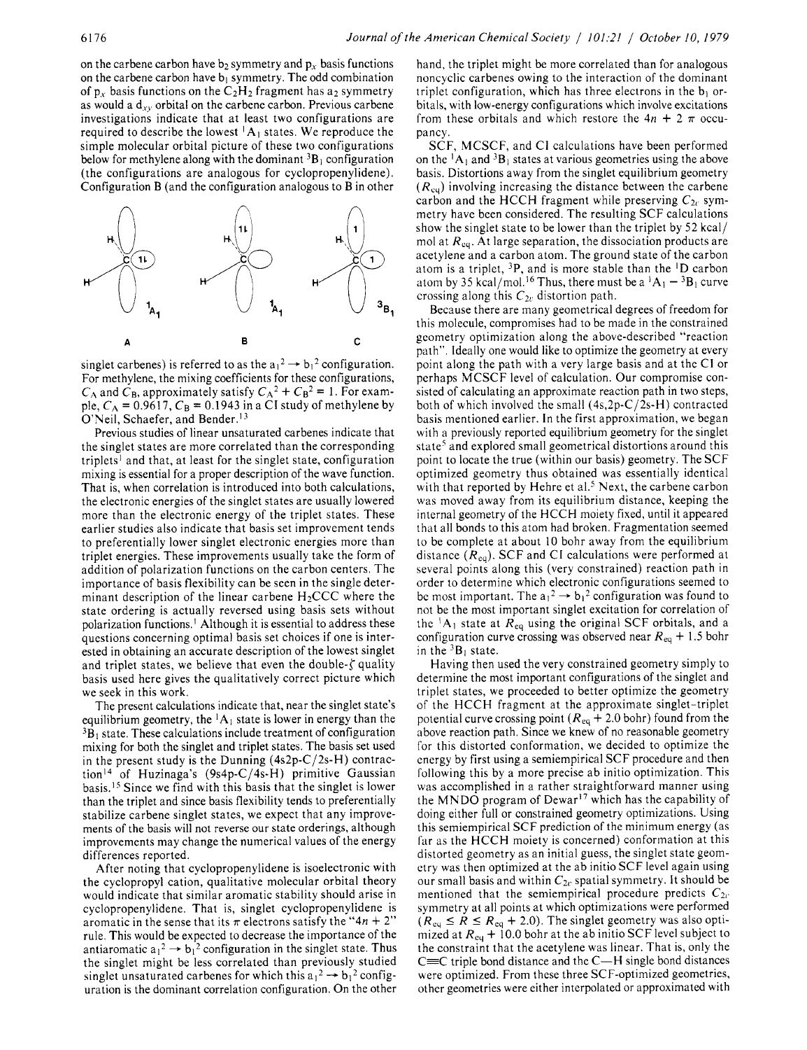on the carbone carbon have  $b_2$  symmetry and  $p_x$  basis functions on the carbon carbon have  $b_1$  symmetry. The odd combination of  $p_x$  basis functions on the C<sub>2</sub>H<sub>2</sub> fragment has a<sub>2</sub> symmetry as would a  $d_{xy}$  orbital on the carbene carbon. Previous carbene investigations indicate that at least two configurations are required to describe the lowest  $^1A_1$  states. We reproduce the simple molecular orbital picture of these two configurations below for methylene along with the dominant  ${}^{3}B_1$  configuration (the configurations are analogous for cyclopropenylidene). Configuration B (and the configuration analogous to B in other



For methylene, the mixing coefficients for these configurations,  $C_A$  and  $\dot{C}_B$ , approximately satisfy  $C_A^2 + C_B^2 = 1$ . For example,  $C_A = 0.9617$ ,  $C_B = 0.1943$  in a CI study of methylene by O'Neil, Schaefer, and Bender.<sup>13</sup>

Previous studies of linear unsaturated carbenes indicate that the singlet states are more correlated than the corresponding triplets<sup>1</sup> and that, at least for the singlet state, configuration mixing is essential for a proper description of the wave function. That is, when correlation is introduced into both calculations, the electronic energies of the singlet states are usually lowered more than the electronic energy of the triplet states. These earlier studies also indicate that basis set improvement tends to preferentially lower singlet electronic energies more than triplet energies. These improvements usually take the form of addition of polarization functions on the carbon centers. The importance of basis flexibility can be seen in the single determinant description of the linear carbene  $H_2CCC$  where the state ordering is actually reversed using basis sets without polarization functions.' Although it is essential to address these questions concerning optimal basis set choices if one is interested in obtaining an accurate description of the lowest singlet and triplet states, we believe that even the double- $\zeta$  quality basis used here gives the qualitatively correct picture which we seek in this work.

The present calculations indicate that, near the singlet state's equilibrium geometry, the  ${}^{1}A_1$  state is lower in energy than the  ${}^{3}B_{1}$  state. These calculations include treatment of configuration mixing for both the singlet and triplet states. The basis set used in the present study is the Dunning  $(4s2p-C/2s-H)$  contraction<sup>14</sup> of Huzinaga's (9s4p-C/4s-H) primitive Gaussian basis.I5 Since we find with this basis that the singlet is lower than the triplet and since basis flexibility tends to preferentially stabilize carbene singlet states, we expect that any improvements of the basis will not reverse our state orderings, although improvements may change the numerical values of the energy differences reported.

After noting that cyclopropenylidene is isoelectronic with the cyclopropyl cation, qualitative molecular orbital theory would indicate that similar aromatic stability should arise in cyclopropenylidene. That is, singlet cyclopropenylidene is aromatic in the sense that its  $\pi$  electrons satisfy the "4n + 2" rule. This would be expected to decrease the importance of the antiaromatic  $a_1^2 \rightarrow b_1^2$  configuration in the singlet state. Thus the singlet might be less correlated than previously studied antiaromatic  $a_1^2 \rightarrow b_1^2$  configuration in the singlet state. Thus<br>the singlet might be less correlated than previously studied<br>singlet unsaturated carbenes for which this  $a_1^2 \rightarrow b_1^2$  configuration is the dominant correlation configuration. On the other

hand, the triplet might be more correlated than for analogous noncyclic carbenes owing to the interaction of the dominant triplet configuration, which has three electrons in the  $b_1$  orbitals, with low-energy configurations which involve excitations from these orbitals and which restore the  $4n + 2 \pi$  occupancy.

SCF, MCSCF, and CI calculations have been performed on the  ${}^{1}A_{1}$  and  ${}^{3}B_{1}$  states at various geometries using the above basis. Distortions away from the singlet equilibrium geometry  $(R<sub>eq</sub>)$  involving increasing the distance between the carbene carbon and the HCCH fragment while preserving  $C_{2c}$  symmetry have been considered. The resulting SCF calculations show the singlet state to be lower than the triplet by 52 kcal/ mol at  $R_{eq}$ . At large separation, the dissociation products are acetylene and a carbon atom. The ground state of the carbon atom is a triplet, 3P, and is more stable than the ID carbon atom by 35 kcal/mol.<sup>16</sup> Thus, there must be a  $^1A_1 - ^3B_1$  curve crossing along this  $C_{2v}$  distortion path.

Because there are many geometrical degrees of freedom for this molecule, compromises had to be made in the constrained geometry optimization along the above-described "reaction path". Ideally one would like to optimize the geometry at every point along the path with a very large basis and at the CI or perhaps MCSCF level of calculation. Our compromise consisted of calculating an approximate reaction path in two steps, both of which involved the small (4s,2p-C/2s-H) contracted basis mentioned earlier. In the first approximation, we began with a previously reported equilibrium geometry for the singlet state<sup>5</sup> and explored small geometrical distortions around this point to locate the true (within our basis) geometry. The SCF optimized geometry thus obtained was essentially identical with that reported by Hehre et al.<sup>5</sup> Next, the carbene carbon was moved away from its equilibrium distance, keeping the internal geometry of the HCCH moiety fixed, until it appeared that all bonds to this atom had broken. Fragmentation seemed to be complete at about 10 bohr away from the equilibrium distance  $(R_{ca})$ . SCF and CI calculations were performed at several points along this (very constrained) reaction path in several points along this (very constrained) reaction path in<br>
order to determine which electronic configurations seemed to<br>
be most important. The  $a_1^2 \rightarrow b_1^2$  configuration was found to<br>
not be the most important simp not be the most important singlet excitation for correlation of the  ${}^{1}A_1$  state at  $R_{eq}$  using the original SCF orbitals, and a configuration curve crossing was observed near  $R_{eq}$  + 1.5 bohr in the  ${}^{3}B_{1}$  state.

Having then used the very constrained geometry simply to determine the most important configurations of the singlet and triplet states, we proceeded to better optimize the geometry of the HCCH fragment at the approximate singlet-triplet potential curve crossing point ( $R_{eq}$  + 2.0 bohr) found from the above reaction path. Since we knew of no reasonable geometry for this distorted conformation, we decided to optimize the energy by first using a semiempirical SCF procedure and then following this by a more precise ab initio optimization. This was accomplished in a rather straightforward manner using the MNDO program of Dewar<sup>17</sup> which has the capability of doing either full or constrained geometry optimizations. Using this semiempirical SCF prediction of the minimum energy (as far as the HCCH moiety is concerned) conformation at this distorted geometry as an initial guess, the singlet state geometry was then optimized at the ab initio SCF level again using our small basis and within  $C_{2v}$  spatial symmetry. It should be mentioned that the semiempirical procedure predicts  $C_{2v}$ symmetry at all points at which optimizations were performed mentioned that the semiempirical procedure predicts  $C_{2v}$ <br>symmetry at all points at which optimizations were performed<br>( $R_{eq} \le R \le R_{eq} + 2.0$ ). The singlet geometry was also opti-<br>mized at  $R_{eq} + 10.0$  bohr at the ab ini the constraint that the acetylene was linear. That is, only the  $C\equiv C$  triple bond distance and the  $C-H$  single bond distances were optimized. From these three SCF-optimized geometries, other geometries were either interpolated or approximated with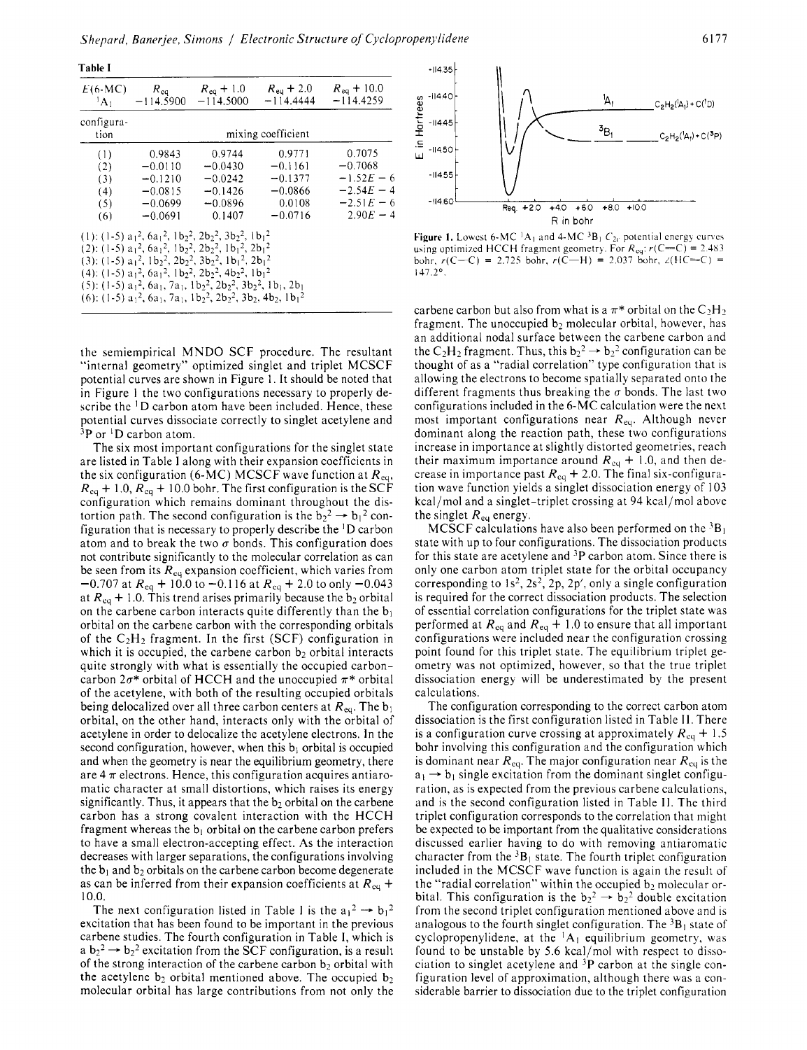**Table I** 

| $E(6-MC)$ $R_{eq}$<br>${}^{1}\mathbf{A}_1$ | $-114.5900$                                                                                                                                                                                                                                                                                                                                                                                                                                                                                                                                                                                                                                                                                                                                                                                                              | $R_{\rm eq}$ + 1.0<br>$-114.5000$                                    | $R_{\rm eq}$ + 2.0<br>$-114.4444$                                                  | $R_{\rm eq}$ + 10.0<br>-114.4259 |  |  |
|--------------------------------------------|--------------------------------------------------------------------------------------------------------------------------------------------------------------------------------------------------------------------------------------------------------------------------------------------------------------------------------------------------------------------------------------------------------------------------------------------------------------------------------------------------------------------------------------------------------------------------------------------------------------------------------------------------------------------------------------------------------------------------------------------------------------------------------------------------------------------------|----------------------------------------------------------------------|------------------------------------------------------------------------------------|----------------------------------|--|--|
| configura-<br>tion                         | mixing coefficient                                                                                                                                                                                                                                                                                                                                                                                                                                                                                                                                                                                                                                                                                                                                                                                                       |                                                                      |                                                                                    |                                  |  |  |
| (1)<br>(2)<br>(3)<br>(4)<br>(5)<br>(6)     | 0.9843<br>$-0.0110$<br>$-0.1210$<br>$-0.0815$<br>$-0.0699$<br>$-0.0691$<br>(1): (1-5) $a_1^2$ , $6a_1^2$ , $1b_2^2$ , $2b_2^2$ , $3b_2^2$ , $1b_1^2$<br>$(2)$ : $(1-5)$ a <sub>1</sub> <sup>2</sup> , 6a <sub>1</sub> <sup>2</sup> , 1b <sub>2</sub> <sup>2</sup> , 2b <sub>2</sub> <sup>2</sup> , 1b <sub>1</sub> <sup>2</sup> , 2b <sub>1</sub> <sup>2</sup><br>(3): (1-5) $a_1^2$ , 1b <sub>2</sub> <sup>2</sup> , 2b <sub>2</sub> <sup>2</sup> , 3b <sub>2</sub> <sup>2</sup> , 1b <sub>1</sub> <sup>2</sup> , 2b <sub>1</sub> <sup>2</sup><br>$(4)$ : (1-5) $a_1^2$ , $6a_1^2$ , $1b_2^2$ , $2b_2^2$ , $4b_2^2$ , $1b_1^2$<br>$(5)$ : (1-5) $a_1^2$ , $6a_1$ , $7a_1$ , $1b_2^2$ , $2b_2^2$ , $3b_2^2$ , $1b_1$ , $2b_1$<br>(6): (1-5) $a_1^2$ , $6a_1$ , $7a_1$ , $1b_2^2$ , $2b_2^2$ , $3b_2$ , $4b_2$ , $1b_1^2$ | 0.9771<br>$-0.1161$<br>$-0.1377$<br>$-0.0866$<br>0.0108<br>$-0.0716$ | 0.7075<br>$-0.7068$<br>$-1.52E - 6$<br>$-2.54E - 4$<br>$-2.51E - 6$<br>$2.90E - 4$ |                                  |  |  |

the semiempirical MNDO SCF procedure. The resultant "internal geometry" optimized singlet and triplet MCSCF potential curves are shown in Figure 1. It should be noted that in Figure I the two configurations necessary to properly describe the  $\rm{^{1}D}$  carbon atom have been included. Hence, these potential curves dissociate correctly to singlet acetylene and <sup>3</sup>P or <sup>1</sup>D carbon atom.

The six most important configurations for the singlet state are listed in Table I along with their expansion coefficients in the six configuration (6-MC) MCSCF wave function at  $R_{eq}$ ,  $R_{\text{eq}} + 1.0$ ,  $R_{\text{eq}} + 10.0$  bohr. The first configuration is the SCF configuration which remains dominant throughout the dis- $R_{eq}$  + 1.0,  $R_{eq}$  + 10.0 bohr. The first configuration is the SCF<br>configuration which remains dominant throughout the dis-<br>tortion path. The second configuration is the  $b_2^2 \rightarrow b_1^2$  configuration that is necessary to properly describe the ID carbon atom and to break the two  $\sigma$  bonds. This configuration does not contribute significantly to the molecular correlation as can be seen from its  $R_{\text{eq}}$  expansion coefficient, which varies from  $-0.707$  at  $R_{eq}$  + 10.0 to  $-0.116$  at  $R_{eq}$  + 2.0 to only  $-0.043$ at  $R_{eq}$  + 1.0. This trend arises primarily because the  $b_2$  orbital on the carbene carbon interacts quite differently than the  $b_1$ orbital on the carbene carbon with the corresponding orbitals of the  $C_2H_2$  fragment. In the first (SCF) configuration in which it is occupied, the carbene carbon  $b_2$  orbital interacts quite strongly with what is essentially the occupied carboncarbon  $2\sigma^*$  orbital of HCCH and the unoccupied  $\pi^*$  orbital of the acetylene, with both of the resulting occupied orbitals being delocalized over all three carbon centers at  $R_{eq}$ . The b<sub>l</sub> orbital, on the other hand, interacts only with the orbital of acetylene in order to delocalize the acetylene electrons. In the second configuration, however, when this  $b_i$  orbital is occupied and when the geometry is near the equilibrium geometry, there are  $4 \pi$  electrons. Hence, this configuration acquires antiaromatic character at small distortions, which raises its energy significantly. Thus, it appears that the  $b_2$  orbital on the carbene carbon has a strong covalent interaction with the HCCH fragment whereas the  $b_1$  orbital on the carbon carbon prefers to have a small electron-accepting effect. **As** the interaction decreases with larger separations, the configurations involving the  $b_1$  and  $b_2$  orbitals on the carbone carbon become degenerate as can be inferred from their expansion coefficients at  $R_{\text{eq}}$  + 10.0.

The next configuration listed in Table I is the  $a_1^2 \rightarrow b_1^2$ excitation that has been found to be important in the previous carbene studies. The fourth configuration in Table I, which is a  $b_2^2 \rightarrow b_2^2$  excitation from the SCF configuration, is a result of the strong interaction of the carbene carbon  $b_2$  orbital with the acetylene  $b_2$  orbital mentioned above. The occupied  $b_2$ molecular orbital has large contributions from not only the





**Figure 1.** Lowest 6-MC <sup>1</sup>A<sub>1</sub> and 4-MC <sup>3</sup>B<sub>1</sub>  $C_{2v}$  potential energy curves using optimized HCCH fragment geometry. For  $R_{eq}$ :  $r(C=C) = 2.483$ bohr,  $r(C-C) = 2.725$  bohr,  $r(\tilde{C}-H) = 2.037$  bohr,  $\angle(HC=C) =$ 147.2'.

carbene carbon but also from what is a  $\pi^*$  orbital on the  $C_2H_2$ fragment. The unoccupied  $b_2$  molecular orbital, however, has an additional nodal surface between the carbene carbon and the C<sub>2</sub>H<sub>2</sub> fragment. Thus, this  $b_2^2 \rightarrow b_2^2$  configuration can be thought of as a "radial correlation" type configuration that is allowing the electrons to become spatially separated onto the different fragments thus breaking the  $\sigma$  bonds. The last two configurations included in the 6-MC calculation were the next most important configurations near  $R_{eq}$ . Although never dominant along the reaction path, these two configurations increase in importance at slightly distorted geometries, reach their maximum importance around  $R_{eq}$  + 1.0, and then decrease in importance past  $R_{eq}$  + 2.0. The final six-configuration wave function yields a singlet dissociation energy of I03 kcal/mol and a singlet-triplet crossing at **94** kcal/mol above the singlet  $R_{eq}$  energy.

MCSCF calculations have also been performed on the  ${}^{3}B_{1}$ state with up to four configurations. The dissociation products for this state are acetylene and  $3P$  carbon atom. Since there is only one carbon atom triplet state for the orbital occupancy corresponding to  $1s^2$ ,  $2s^2$ ,  $2p$ ,  $2p'$ , only a single configuration is required for the correct dissociation products. The selection of essential correlation configurations for the triplet state was performed at  $R_{eq}$  and  $R_{eq} + 1.0$  to ensure that all important configurations were included near the configuration crossing point found for this triplet state. The equilibrium triplet geometry was not optimized, however, so that the true triplet dissociation energy will be underestimated by the present calculations.

The configuration corresponding to the correct carbon atom dissociation is the first configuration listed in Table **11.** There is a configuration curve crossing at approximately  $R_{eq} + 1.5$ bohr involving this configuration and the configuration which bohr involving this configuration and the configuration which<br>is dominant near  $R_{eq}$ . The major configuration near  $R_{eq}$  is the<br> $a_1 \rightarrow b_1$  single excitation from the dominant singlet configuration, as is expected from the previous carbene calculations, and is the second configuration listed in Table II. The third triplet configuration corresponds to the correlation that might be expected to be important from the qualitative considerations discussed earlier having to do with removing antiaromatic character from the  ${}^{3}B_1$  state. The fourth triplet configuration included in the MCSCF wave function is again the result of the "radial correlation" within the occupied  $b_2$  molecular orbital. This configuration is the  $b_2^2 \rightarrow b_2^2$  double excitation from the second triplet configuration mentioned above and is analogous to the fourth singlet configuration. The  ${}^{3}B_{1}$  state of cyclopropenylidene, at the  ${}^{1}A_{1}$  equilibrium geometry, was found to be unstable by 5.6 kcal/mol with respect to dissociation to singlet acetylene and 3P carbon at the single configuration level of approximation, although there was a considerable barrier to dissociation due to the triplet configuration